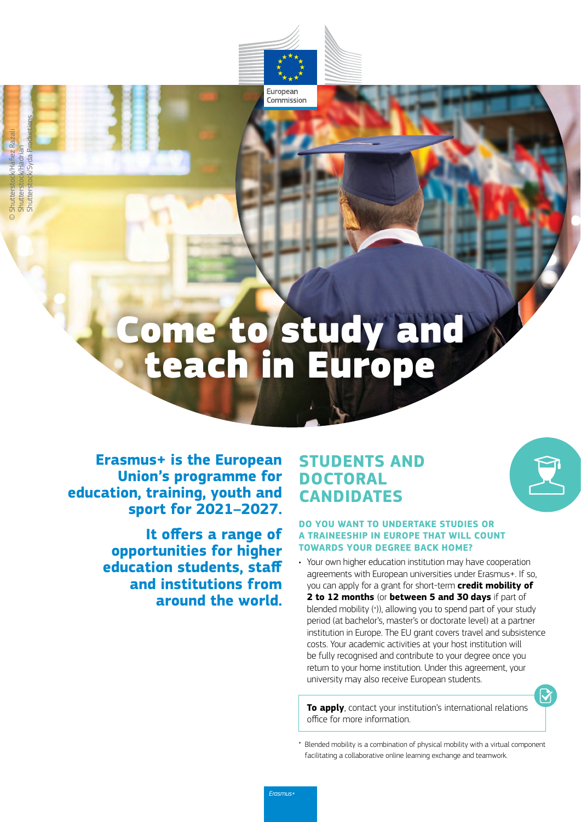# Come to study and teach in Europe

European Commission

**Erasmus+ is the European Union's programme for education, training, youth and sport for 2021–2027.**

> **It offers a range of opportunities for higher education students, staff and institutions from around the world.**

### **STUDENTS AND DOCTORAL CANDIDATES**

#### **DO YOU WANT TO UNDERTAKE STUDIES OR A TRAINEESHIP IN EUROPE THAT WILL COUNT TOWARDS YOUR DEGREE BACK HOME?**

• Your own higher education institution may have cooperation agreements with European universities under Erasmus+. If so, you can apply for a grant for short-term **credit mobility of 2 to 12 months** (or **between 5 and 30 days** if part of blended mobility (\*)), allowing you to spend part of your study period (at bachelor's, master's or doctorate level) at a partner institution in Europe. The EU grant covers travel and subsistence costs. Your academic activities at your host institution will be fully recognised and contribute to your degree once you return to your home institution. Under this agreement, your university may also receive European students.

**To apply**, contact your institution's international relations office for more information.

Blended mobility is a combination of physical mobility with a virtual component facilitating a collaborative online learning exchange and teamwork.